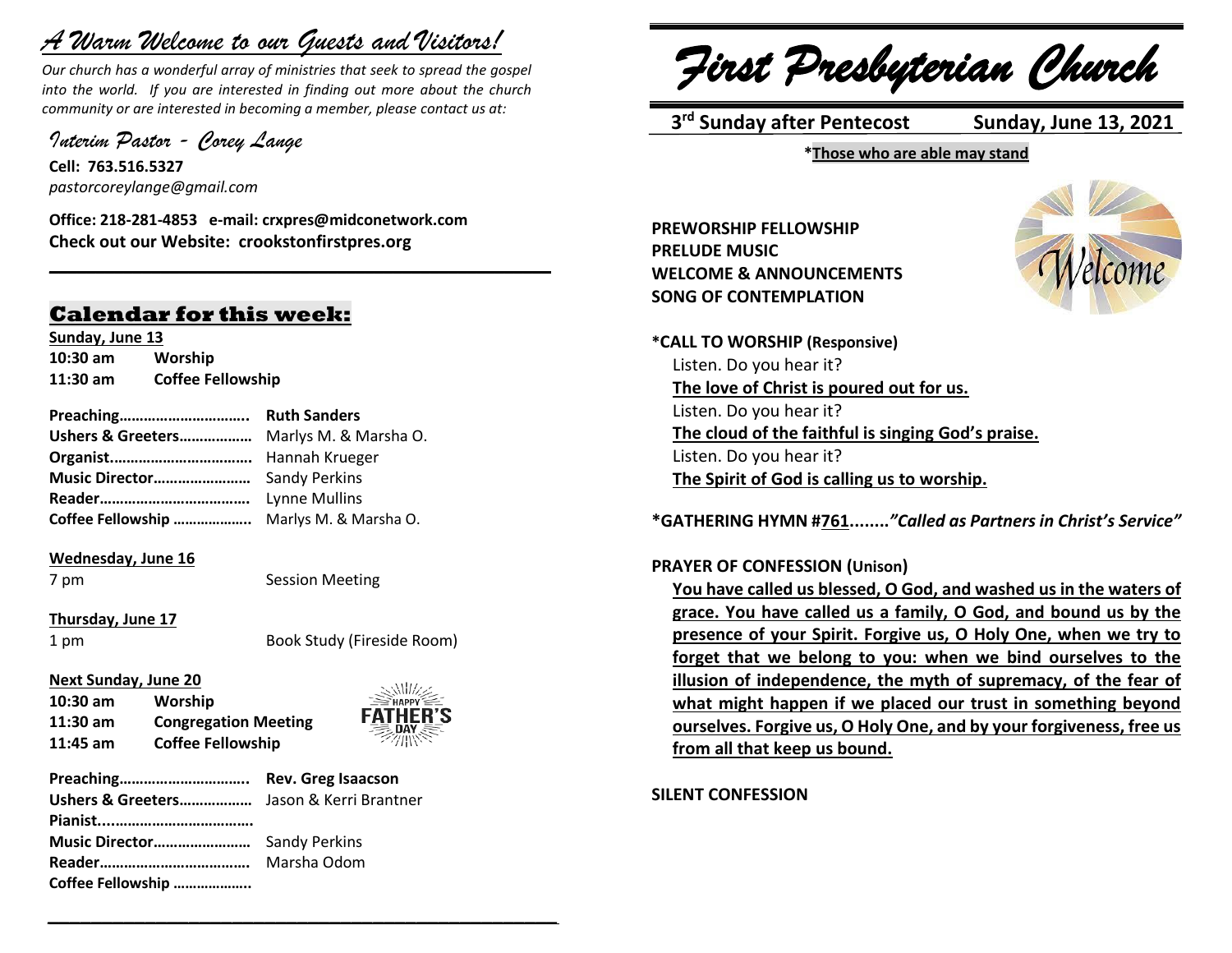## *A Warm Welcome to our Guests and Visitors!*

*Our church has a wonderful array of ministries that seek to spread the gospel into the world. If you are interested in finding out more about the church community or are interested in becoming a member, please contact us at:*

**\_\_\_\_\_\_\_\_\_\_\_\_\_\_\_\_\_\_\_\_\_\_\_\_\_\_\_\_\_\_\_\_\_\_\_\_\_\_\_\_\_\_\_\_\_\_\_\_\_\_\_\_\_\_**

*Interim Pastor - Corey Lange* 

**Cell: 763.516.5327** *pastorcoreylange@gmail.com*

**Office: 218-281-4853 e-mail: crxpres@midconetwork.com Check out our Website: crookstonfirstpres.org**

### **Calendar for this week:**

**Sunday, June 13 10:30 am Worship 11:30 am Coffee Fellowship**

**Preaching………………………….. Ruth Sanders Ushers & Greeters………………** Marlys M. & Marsha O. **Organist.…………………………….** Hannah Krueger **Music Director……………………** Sandy Perkins **Reader……………………………….** Lynne Mullins **Coffee Fellowship ………………..** Marlys M. & Marsha O.

#### **Wednesday, June 16**

7 pm Session Meeting

*\_\_\_\_\_\_\_\_\_\_\_\_\_\_\_\_\_\_\_\_\_\_\_\_\_\_\_\_\_\_\_\_\_\_\_\_\_\_\_\_\_\_\_\_\_\_\_*

#### **Thursday, June 17**

1 pm Book Study (Fireside Room)

#### **Next Sunday, June 20**

**10:30 am Worship 11:30 am Congregation Meeting 11:45 am Coffee Fellowship**



**Preaching………………………….. Rev. Greg Isaacson Ushers & Greeters………………** Jason & Kerri Brantner **Pianist....……………………………. Music Director……………………** Sandy Perkins **Reader……………………………….** Marsha Odom **Coffee Fellowship ………………..**

*First Presbyterian Church*

 **3 rd Sunday after Pentecost Sunday, June 13, 2021**

**\*Those who are able may stand**

**PREWORSHIP FELLOWSHIP PRELUDE MUSIC WELCOME & ANNOUNCEMENTS SONG OF CONTEMPLATION**



**\*CALL TO WORSHIP (Responsive)** Listen. Do you hear it? **The love of Christ is poured out for us.** Listen. Do you hear it? **The cloud of the faithful is singing God's praise.** Listen. Do you hear it? **The Spirit of God is calling us to worship.**

**\*GATHERING HYMN #761........***"Called as Partners in Christ's Service"*

#### **PRAYER OF CONFESSION (Unison)**

**You have called us blessed, O God, and washed us in the waters of grace. You have called us a family, O God, and bound us by the presence of your Spirit. Forgive us, O Holy One, when we try to forget that we belong to you: when we bind ourselves to the illusion of independence, the myth of supremacy, of the fear of what might happen if we placed our trust in something beyond ourselves. Forgive us, O Holy One, and by your forgiveness, free us from all that keep us bound.**

**SILENT CONFESSION**